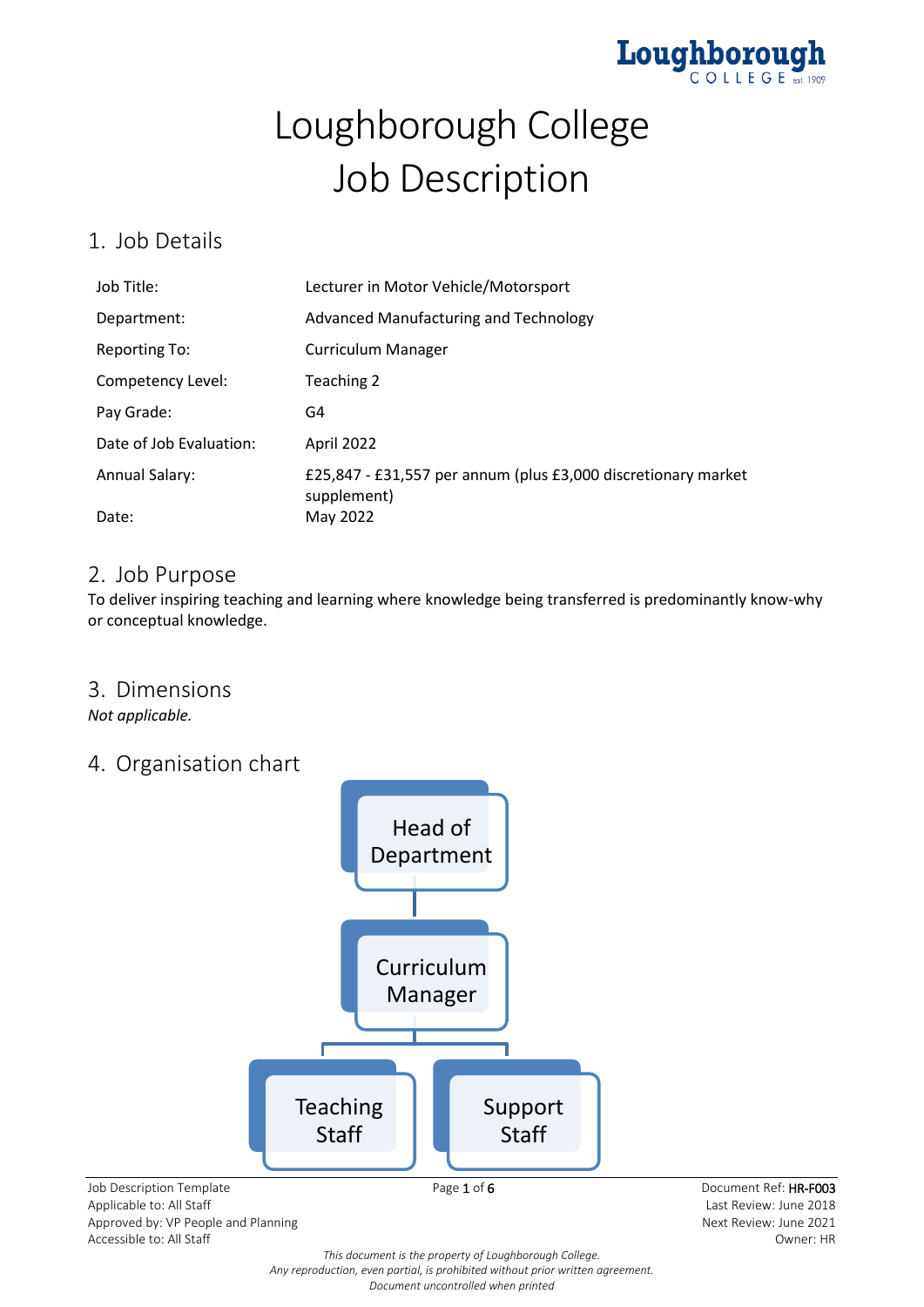

# Loughborough College Job Description

### 1. Job Details

| Job Title:              | Lecturer in Motor Vehicle/Motorsport                                         |
|-------------------------|------------------------------------------------------------------------------|
| Department:             | Advanced Manufacturing and Technology                                        |
| <b>Reporting To:</b>    | <b>Curriculum Manager</b>                                                    |
| Competency Level:       | Teaching 2                                                                   |
| Pay Grade:              | G4                                                                           |
| Date of Job Evaluation: | April 2022                                                                   |
| <b>Annual Salary:</b>   | £25,847 - £31,557 per annum (plus £3,000 discretionary market<br>supplement) |
| Date:                   | May 2022                                                                     |

### 2. Job Purpose

To deliver inspiring teaching and learning where knowledge being transferred is predominantly know-why or conceptual knowledge.

### 3. Dimensions

*Not applicable.*

### 4. Organisation chart



Approved by: VP People and Planning and Alexander Approved by: VP People and Planning Approved by: VP People and Planning Accessible to: All Staff Owner: HR

*This document is the property of Loughborough College. Any reproduction, even partial, is prohibited without prior written agreement. Document uncontrolled when printed*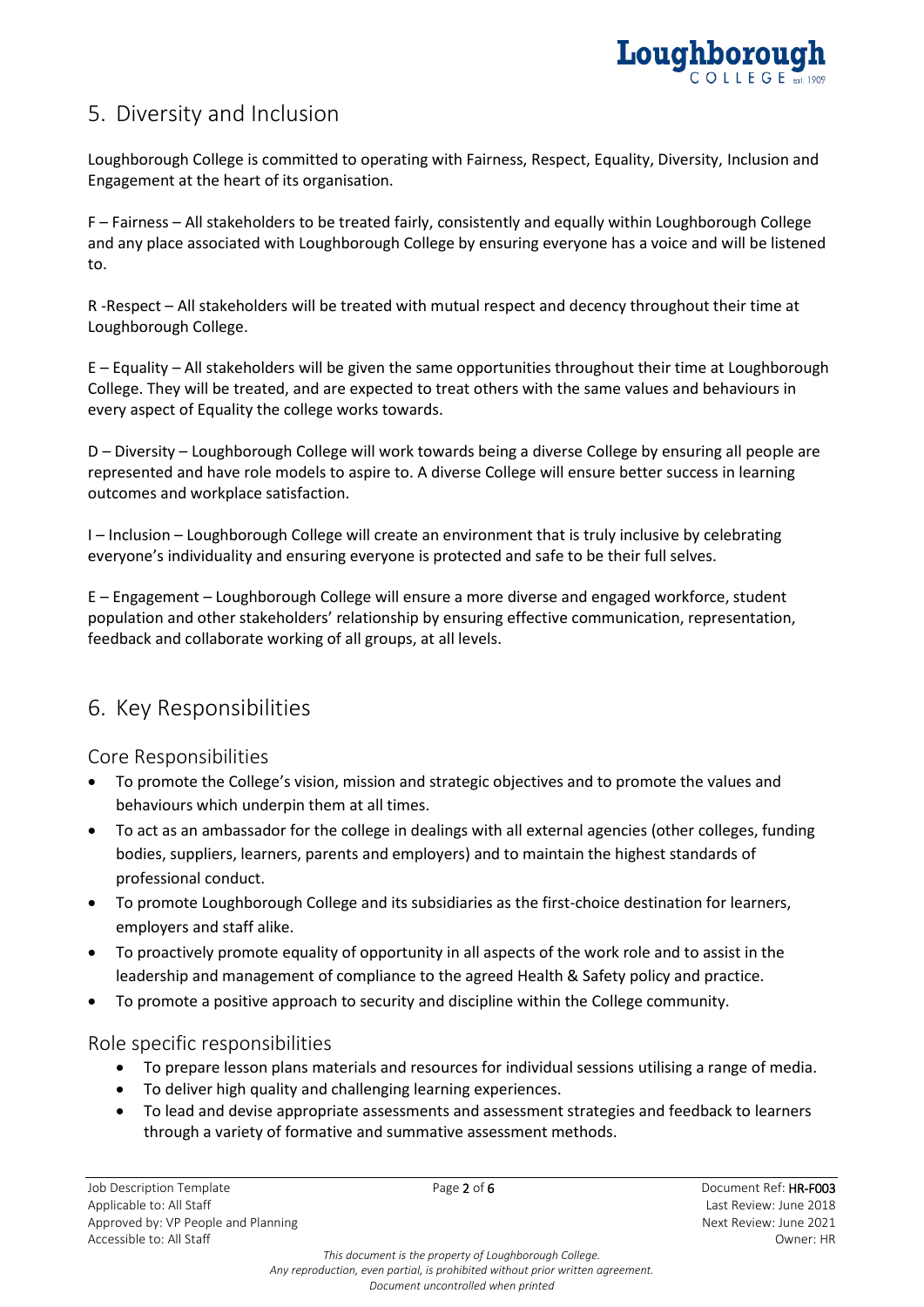

### 5. Diversity and Inclusion

Loughborough College is committed to operating with Fairness, Respect, Equality, Diversity, Inclusion and Engagement at the heart of its organisation.

F – Fairness – All stakeholders to be treated fairly, consistently and equally within Loughborough College and any place associated with Loughborough College by ensuring everyone has a voice and will be listened to.

R -Respect – All stakeholders will be treated with mutual respect and decency throughout their time at Loughborough College.

E – Equality – All stakeholders will be given the same opportunities throughout their time at Loughborough College. They will be treated, and are expected to treat others with the same values and behaviours in every aspect of Equality the college works towards.

D – Diversity – Loughborough College will work towards being a diverse College by ensuring all people are represented and have role models to aspire to. A diverse College will ensure better success in learning outcomes and workplace satisfaction.

I – Inclusion – Loughborough College will create an environment that is truly inclusive by celebrating everyone's individuality and ensuring everyone is protected and safe to be their full selves.

E – Engagement – Loughborough College will ensure a more diverse and engaged workforce, student population and other stakeholders' relationship by ensuring effective communication, representation, feedback and collaborate working of all groups, at all levels.

### 6. Key Responsibilities

Core Responsibilities

- To promote the College's vision, mission and strategic objectives and to promote the values and behaviours which underpin them at all times.
- To act as an ambassador for the college in dealings with all external agencies (other colleges, funding bodies, suppliers, learners, parents and employers) and to maintain the highest standards of professional conduct.
- To promote Loughborough College and its subsidiaries as the first-choice destination for learners, employers and staff alike.
- To proactively promote equality of opportunity in all aspects of the work role and to assist in the leadership and management of compliance to the agreed Health & Safety policy and practice.
- To promote a positive approach to security and discipline within the College community.

#### Role specific responsibilities

- To prepare lesson plans materials and resources for individual sessions utilising a range of media.
- To deliver high quality and challenging learning experiences.
- To lead and devise appropriate assessments and assessment strategies and feedback to learners through a variety of formative and summative assessment methods.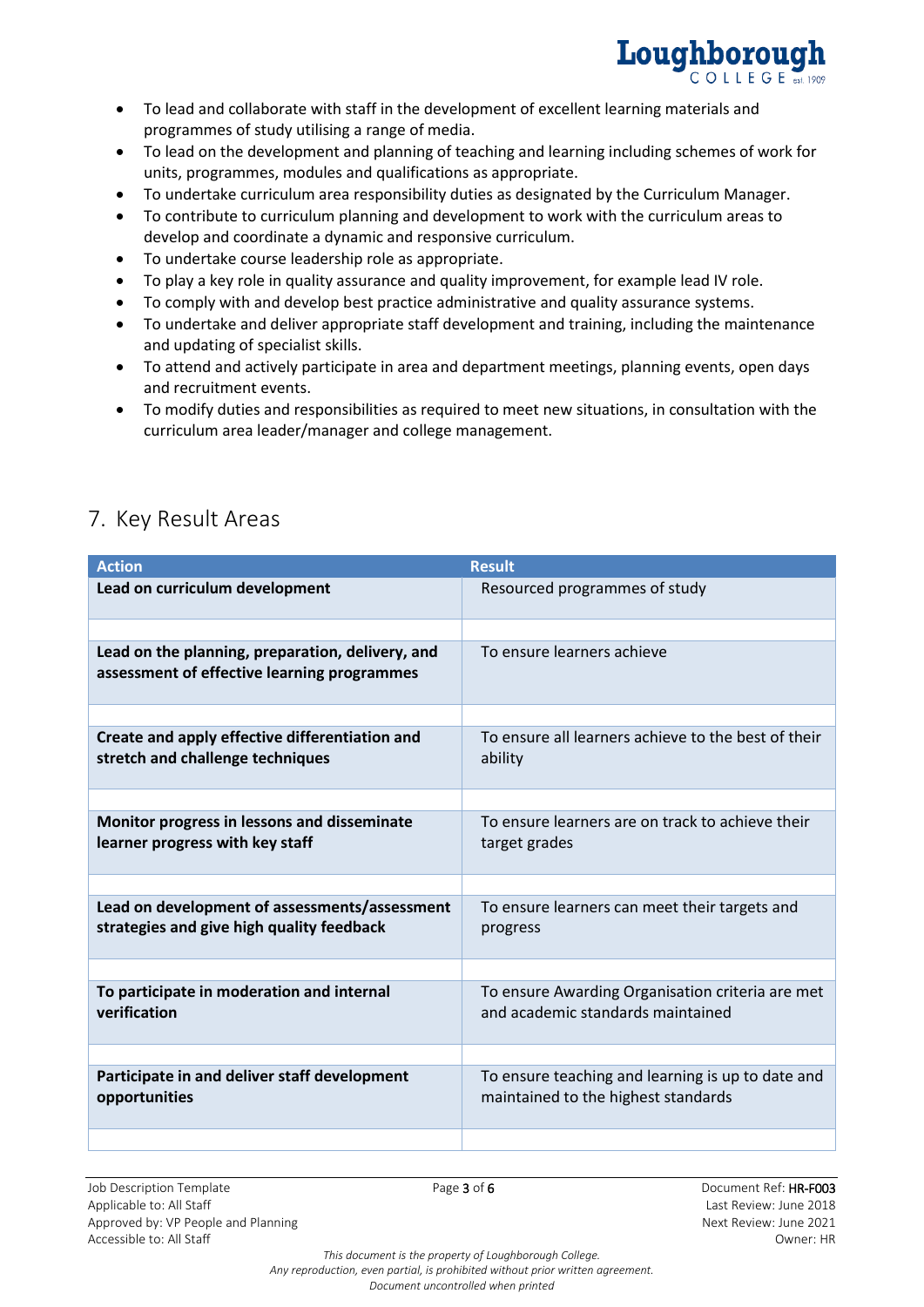

- To lead and collaborate with staff in the development of excellent learning materials and programmes of study utilising a range of media.
- To lead on the development and planning of teaching and learning including schemes of work for units, programmes, modules and qualifications as appropriate.
- To undertake curriculum area responsibility duties as designated by the Curriculum Manager.
- To contribute to curriculum planning and development to work with the curriculum areas to develop and coordinate a dynamic and responsive curriculum.
- To undertake course leadership role as appropriate.
- To play a key role in quality assurance and quality improvement, for example lead IV role.
- To comply with and develop best practice administrative and quality assurance systems.
- To undertake and deliver appropriate staff development and training, including the maintenance and updating of specialist skills.
- To attend and actively participate in area and department meetings, planning events, open days and recruitment events.
- To modify duties and responsibilities as required to meet new situations, in consultation with the curriculum area leader/manager and college management.

| <b>Action</b>                                                                                   | <b>Result</b>                                                                            |
|-------------------------------------------------------------------------------------------------|------------------------------------------------------------------------------------------|
| Lead on curriculum development                                                                  | Resourced programmes of study                                                            |
|                                                                                                 |                                                                                          |
| Lead on the planning, preparation, delivery, and<br>assessment of effective learning programmes | To ensure learners achieve                                                               |
|                                                                                                 |                                                                                          |
| Create and apply effective differentiation and<br>stretch and challenge techniques              | To ensure all learners achieve to the best of their<br>ability                           |
|                                                                                                 |                                                                                          |
| Monitor progress in lessons and disseminate<br>learner progress with key staff                  | To ensure learners are on track to achieve their<br>target grades                        |
|                                                                                                 |                                                                                          |
| Lead on development of assessments/assessment<br>strategies and give high quality feedback      | To ensure learners can meet their targets and<br>progress                                |
|                                                                                                 |                                                                                          |
| To participate in moderation and internal<br>verification                                       | To ensure Awarding Organisation criteria are met<br>and academic standards maintained    |
|                                                                                                 |                                                                                          |
| Participate in and deliver staff development<br>opportunities                                   | To ensure teaching and learning is up to date and<br>maintained to the highest standards |
|                                                                                                 |                                                                                          |

# 7. Key Result Areas

Job Description Template **Page 3 of 6** Page 3 of 6 Document Ref: HR-F003 Applicable to: All Staff Last Review: June 2018 Approved by: VP People and Planning Next Review: June 2021 Accessible to: All Staff Owner: HR

*This document is the property of Loughborough College. Any reproduction, even partial, is prohibited without prior written agreement. Document uncontrolled when printed*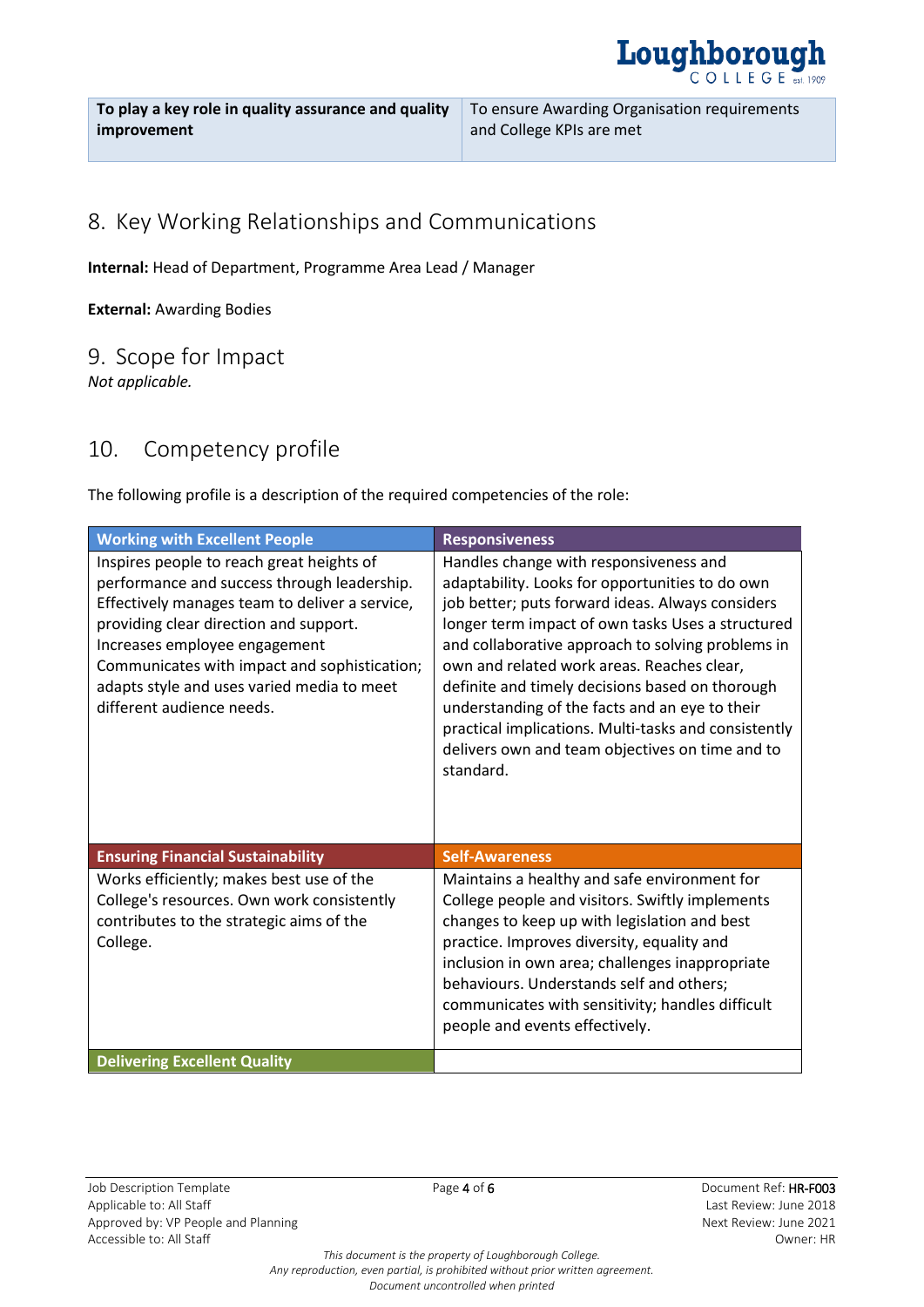

**To play a key role in quality assurance and quality improvement**

## 8. Key Working Relationships and Communications

**Internal:** Head of Department, Programme Area Lead / Manager

**External:** Awarding Bodies

#### 9. Scope for Impact

*Not applicable.*

### 10. Competency profile

The following profile is a description of the required competencies of the role:

| <b>Working with Excellent People</b>                                                                                                                                                                                                                                                                                                             | <b>Responsiveness</b>                                                                                                                                                                                                                                                                                                                                                                                                                                                                                                              |
|--------------------------------------------------------------------------------------------------------------------------------------------------------------------------------------------------------------------------------------------------------------------------------------------------------------------------------------------------|------------------------------------------------------------------------------------------------------------------------------------------------------------------------------------------------------------------------------------------------------------------------------------------------------------------------------------------------------------------------------------------------------------------------------------------------------------------------------------------------------------------------------------|
| Inspires people to reach great heights of<br>performance and success through leadership.<br>Effectively manages team to deliver a service,<br>providing clear direction and support.<br>Increases employee engagement<br>Communicates with impact and sophistication;<br>adapts style and uses varied media to meet<br>different audience needs. | Handles change with responsiveness and<br>adaptability. Looks for opportunities to do own<br>job better; puts forward ideas. Always considers<br>longer term impact of own tasks Uses a structured<br>and collaborative approach to solving problems in<br>own and related work areas. Reaches clear,<br>definite and timely decisions based on thorough<br>understanding of the facts and an eye to their<br>practical implications. Multi-tasks and consistently<br>delivers own and team objectives on time and to<br>standard. |
| <b>Ensuring Financial Sustainability</b>                                                                                                                                                                                                                                                                                                         | <b>Self-Awareness</b>                                                                                                                                                                                                                                                                                                                                                                                                                                                                                                              |
| Works efficiently; makes best use of the<br>College's resources. Own work consistently<br>contributes to the strategic aims of the<br>College.                                                                                                                                                                                                   | Maintains a healthy and safe environment for<br>College people and visitors. Swiftly implements<br>changes to keep up with legislation and best<br>practice. Improves diversity, equality and<br>inclusion in own area; challenges inappropriate<br>behaviours. Understands self and others;<br>communicates with sensitivity; handles difficult<br>people and events effectively.                                                                                                                                                 |
| <b>Delivering Excellent Quality</b>                                                                                                                                                                                                                                                                                                              |                                                                                                                                                                                                                                                                                                                                                                                                                                                                                                                                    |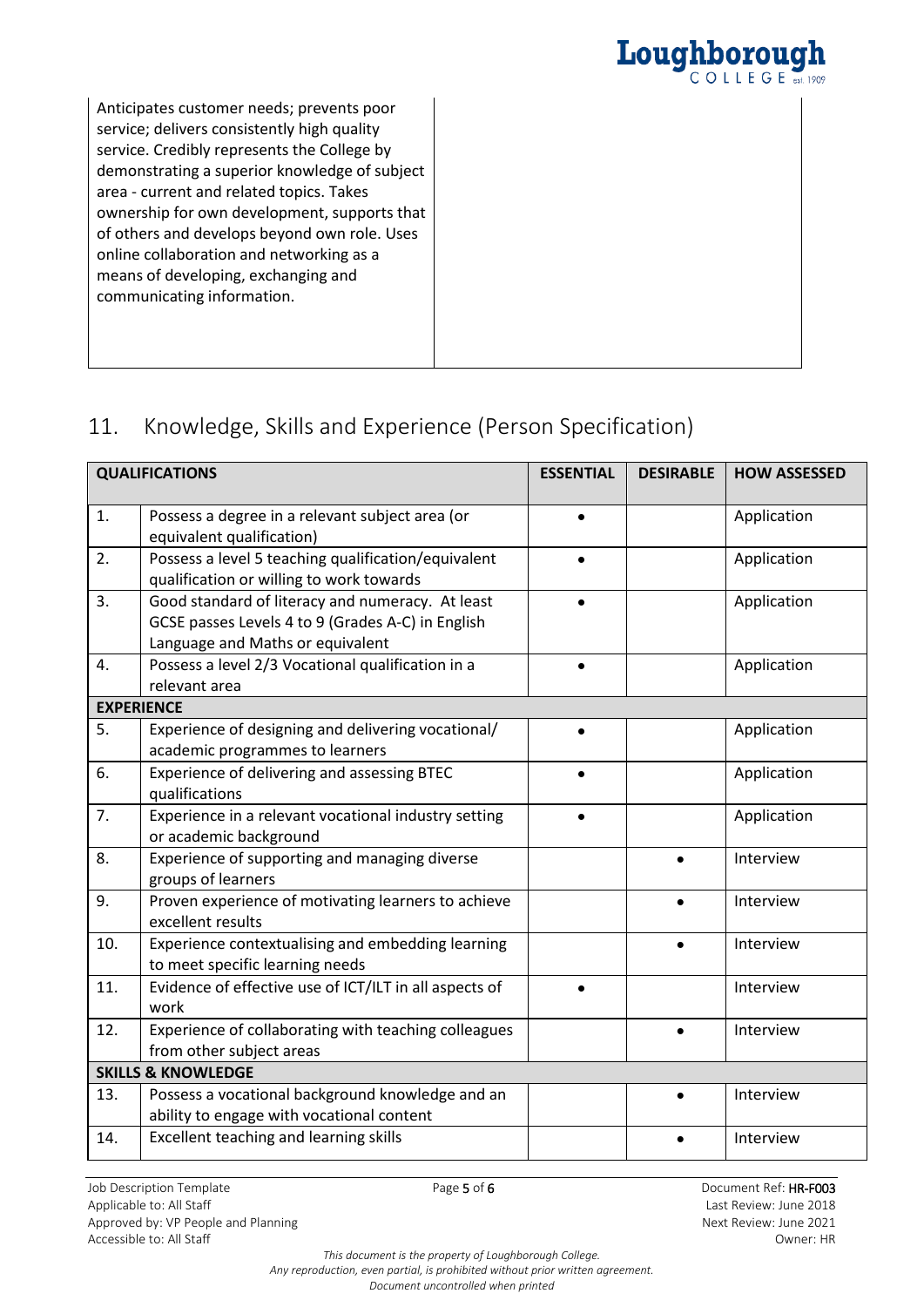

Anticipates customer needs; prevents poor service; delivers consistently high quality service. Credibly represents the College by demonstrating a superior knowledge of subject area - current and related topics. Takes ownership for own development, supports that of others and develops beyond own role. Uses online collaboration and networking as a means of developing, exchanging and communicating information.

# 11. Knowledge, Skills and Experience (Person Specification)

|     | <b>QUALIFICATIONS</b>                                                                                                                     | <b>ESSENTIAL</b> | <b>DESIRABLE</b> | <b>HOW ASSESSED</b> |
|-----|-------------------------------------------------------------------------------------------------------------------------------------------|------------------|------------------|---------------------|
| 1.  | Possess a degree in a relevant subject area (or<br>equivalent qualification)                                                              | $\bullet$        |                  | Application         |
| 2.  | Possess a level 5 teaching qualification/equivalent<br>qualification or willing to work towards                                           |                  |                  | Application         |
| 3.  | Good standard of literacy and numeracy. At least<br>GCSE passes Levels 4 to 9 (Grades A-C) in English<br>Language and Maths or equivalent |                  |                  | Application         |
| 4.  | Possess a level 2/3 Vocational qualification in a<br>relevant area                                                                        |                  |                  | Application         |
|     | <b>EXPERIENCE</b>                                                                                                                         |                  |                  |                     |
| 5.  | Experience of designing and delivering vocational/<br>academic programmes to learners                                                     |                  |                  | Application         |
| 6.  | Experience of delivering and assessing BTEC<br>qualifications                                                                             |                  |                  | Application         |
| 7.  | Experience in a relevant vocational industry setting<br>or academic background                                                            |                  |                  | Application         |
| 8.  | Experience of supporting and managing diverse<br>groups of learners                                                                       |                  | $\bullet$        | Interview           |
| 9.  | Proven experience of motivating learners to achieve<br>excellent results                                                                  |                  |                  | Interview           |
| 10. | Experience contextualising and embedding learning<br>to meet specific learning needs                                                      |                  |                  | Interview           |
| 11. | Evidence of effective use of ICT/ILT in all aspects of<br>work                                                                            | $\bullet$        |                  | Interview           |
| 12. | Experience of collaborating with teaching colleagues<br>from other subject areas                                                          |                  |                  | Interview           |
|     | <b>SKILLS &amp; KNOWLEDGE</b>                                                                                                             |                  |                  |                     |
| 13. | Possess a vocational background knowledge and an<br>ability to engage with vocational content                                             |                  |                  | Interview           |
| 14. | Excellent teaching and learning skills                                                                                                    |                  |                  | Interview           |

*This document is the property of Loughborough College. Any reproduction, even partial, is prohibited without prior written agreement. Document uncontrolled when printed*